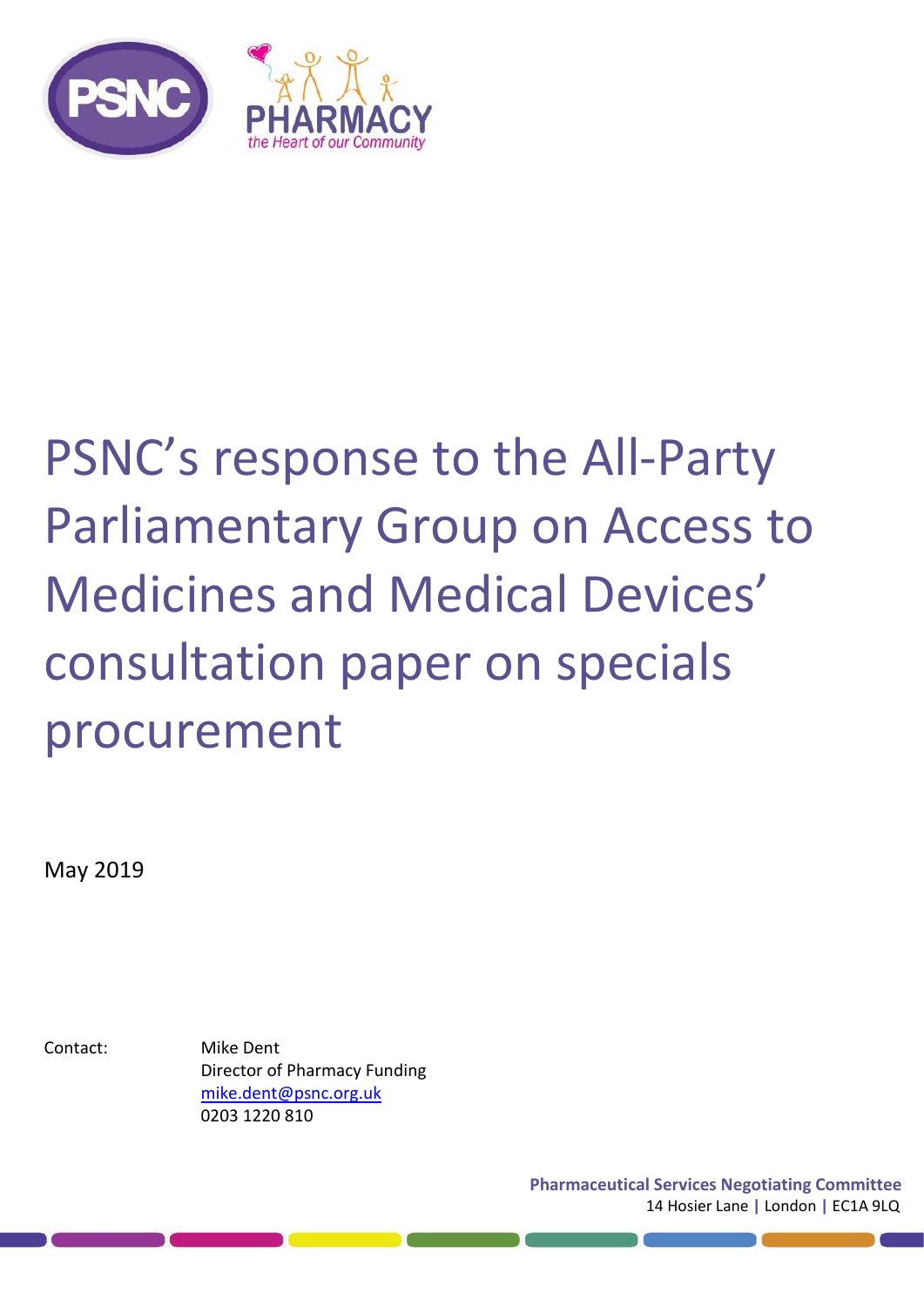

# PSNC's response to the All-Party Parliamentary Group on Access to Medicines and Medical Devices' consultation paper on specials procurement

May 2019

Contact: Mike Dent Director of Pharmacy Funding [mike.dent@psnc.org.uk](mailto:mike.dent@psnc.org.uk) 0203 1220 810

> **Pharmaceutical Services Negotiating Committee** 14 Hosier Lane **|** London **|** EC1A 9LQ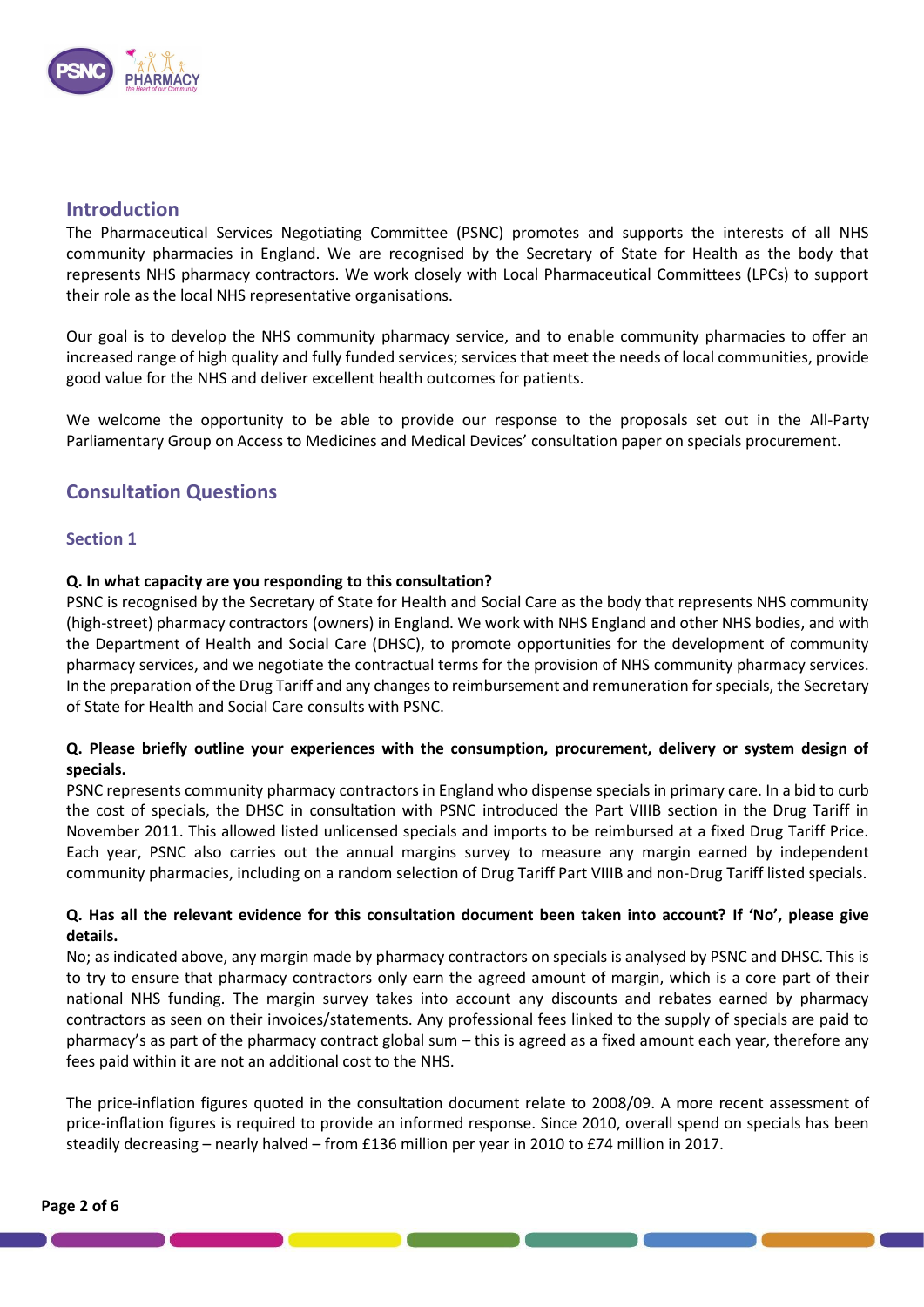

## **Introduction**

The Pharmaceutical Services Negotiating Committee (PSNC) promotes and supports the interests of all NHS community pharmacies in England. We are recognised by the Secretary of State for Health as the body that represents NHS pharmacy contractors. We work closely with Local Pharmaceutical Committees (LPCs) to support their role as the local NHS representative organisations.

Our goal is to develop the NHS community pharmacy service, and to enable community pharmacies to offer an increased range of high quality and fully funded services; services that meet the needs of local communities, provide good value for the NHS and deliver excellent health outcomes for patients.

We welcome the opportunity to be able to provide our response to the proposals set out in the All-Party Parliamentary Group on Access to Medicines and Medical Devices' consultation paper on specials procurement.

## **Consultation Questions**

### **Section 1**

### **Q. In what capacity are you responding to this consultation?**

PSNC is recognised by the Secretary of State for Health and Social Care as the body that represents NHS community (high-street) pharmacy contractors (owners) in England. We work with NHS England and other NHS bodies, and with the Department of Health and Social Care (DHSC), to promote opportunities for the development of community pharmacy services, and we negotiate the contractual terms for the provision of NHS community pharmacy services. In the preparation of the Drug Tariff and any changes to reimbursement and remuneration for specials, the Secretary of State for Health and Social Care consults with PSNC.

## **Q. Please briefly outline your experiences with the consumption, procurement, delivery or system design of specials.**

PSNC represents community pharmacy contractors in England who dispense specials in primary care. In a bid to curb the cost of specials, the DHSC in consultation with PSNC introduced the Part VIIIB section in the Drug Tariff in November 2011. This allowed listed unlicensed specials and imports to be reimbursed at a fixed Drug Tariff Price. Each year, PSNC also carries out the annual margins survey to measure any margin earned by independent community pharmacies, including on a random selection of Drug Tariff Part VIIIB and non-Drug Tariff listed specials.

### **Q. Has all the relevant evidence for this consultation document been taken into account? If 'No', please give details.**

No; as indicated above, any margin made by pharmacy contractors on specials is analysed by PSNC and DHSC. This is to try to ensure that pharmacy contractors only earn the agreed amount of margin, which is a core part of their national NHS funding. The margin survey takes into account any discounts and rebates earned by pharmacy contractors as seen on their invoices/statements. Any professional fees linked to the supply of specials are paid to pharmacy's as part of the pharmacy contract global sum – this is agreed as a fixed amount each year, therefore any fees paid within it are not an additional cost to the NHS.

The price-inflation figures quoted in the consultation document relate to 2008/09. A more recent assessment of price-inflation figures is required to provide an informed response. Since 2010, overall spend on specials has been steadily decreasing – nearly halved – from £136 million per year in 2010 to £74 million in 2017.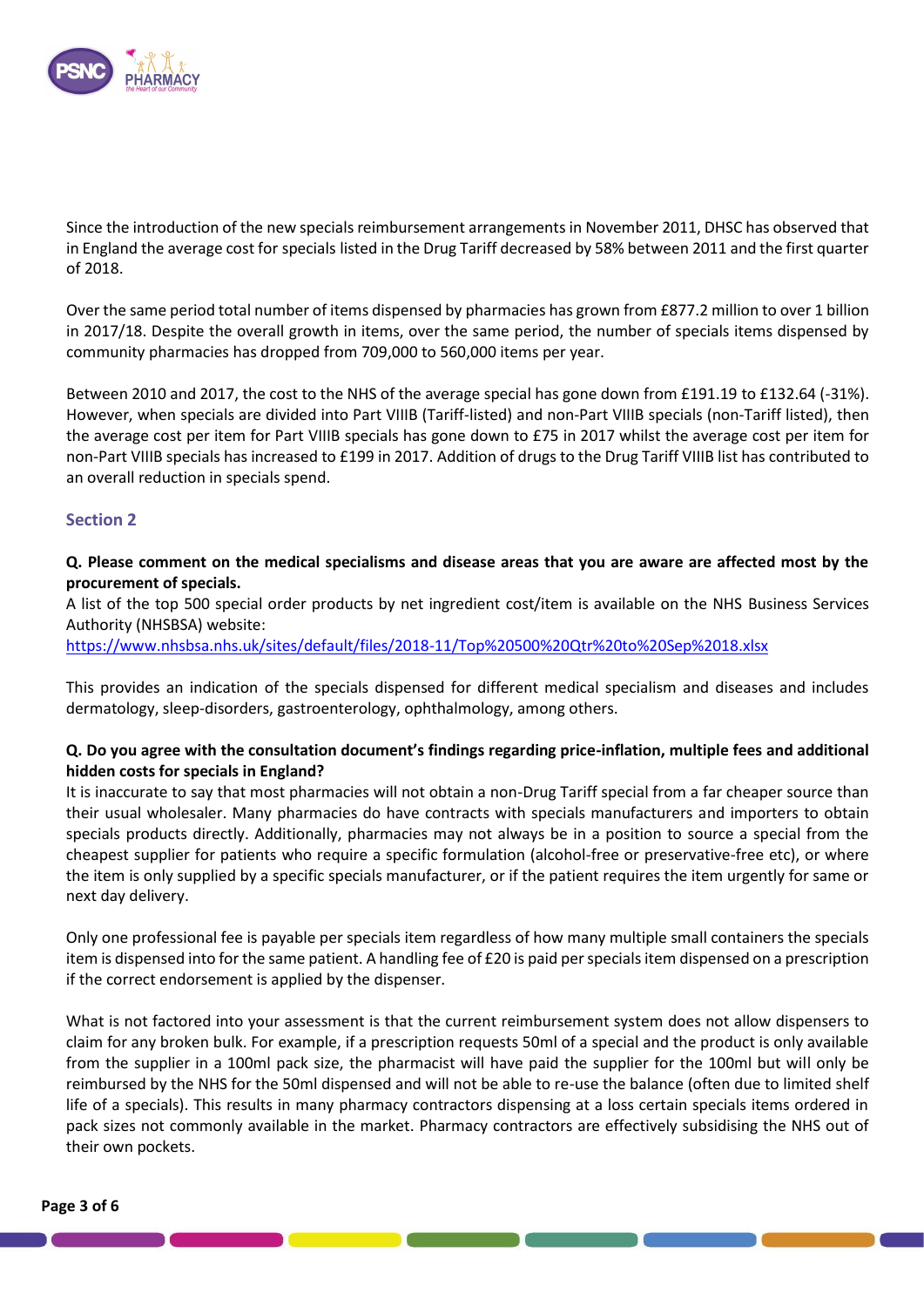

Since the introduction of the new specials reimbursement arrangements in November 2011, DHSC has observed that in England the average cost for specials listed in the Drug Tariff decreased by 58% between 2011 and the first quarter of 2018. 

Over the same period total number of items dispensed by pharmacies has grown from £877.2 million to over 1 billion in 2017/18. Despite the overall growth in items, over the same period, the number of specials items dispensed by community pharmacies has dropped from 709,000 to 560,000 items per year.

Between 2010 and 2017, the cost to the NHS of the average special has gone down from £191.19 to £132.64 (-31%). However, when specials are divided into Part VIIIB (Tariff-listed) and non-Part VIIIB specials (non-Tariff listed), then the average cost per item for Part VIIIB specials has gone down to £75 in 2017 whilst the average cost per item for non-Part VIIIB specials has increased to £199 in 2017. Addition of drugs to the Drug Tariff VIIIB list has contributed to an overall reduction in specials spend.

### **Section 2**

## **Q. Please comment on the medical specialisms and disease areas that you are aware are affected most by the procurement of specials.**

A list of the top 500 special order products by net ingredient cost/item is available on the NHS Business Services Authority (NHSBSA) website:

<https://www.nhsbsa.nhs.uk/sites/default/files/2018-11/Top%20500%20Qtr%20to%20Sep%2018.xlsx>

This provides an indication of the specials dispensed for different medical specialism and diseases and includes dermatology, sleep-disorders, gastroenterology, ophthalmology, among others.

### **Q. Do you agree with the consultation document's findings regarding price-inflation, multiple fees and additional hidden costs for specials in England?**

It is inaccurate to say that most pharmacies will not obtain a non-Drug Tariff special from a far cheaper source than their usual wholesaler. Many pharmacies do have contracts with specials manufacturers and importers to obtain specials products directly. Additionally, pharmacies may not always be in a position to source a special from the cheapest supplier for patients who require a specific formulation (alcohol-free or preservative-free etc), or where the item is only supplied by a specific specials manufacturer, or if the patient requires the item urgently for same or next day delivery.

Only one professional fee is payable per specials item regardless of how many multiple small containers the specials item is dispensed into for the same patient. A handling fee of £20 is paid per specials item dispensed on a prescription if the correct endorsement is applied by the dispenser.

What is not factored into your assessment is that the current reimbursement system does not allow dispensers to claim for any broken bulk. For example, if a prescription requests 50ml of a special and the product is only available from the supplier in a 100ml pack size, the pharmacist will have paid the supplier for the 100ml but will only be reimbursed by the NHS for the 50ml dispensed and will not be able to re-use the balance (often due to limited shelf life of a specials). This results in many pharmacy contractors dispensing at a loss certain specials items ordered in pack sizes not commonly available in the market. Pharmacy contractors are effectively subsidising the NHS out of their own pockets.

the control of the control of the con-

**Contract Contract Contract Contract**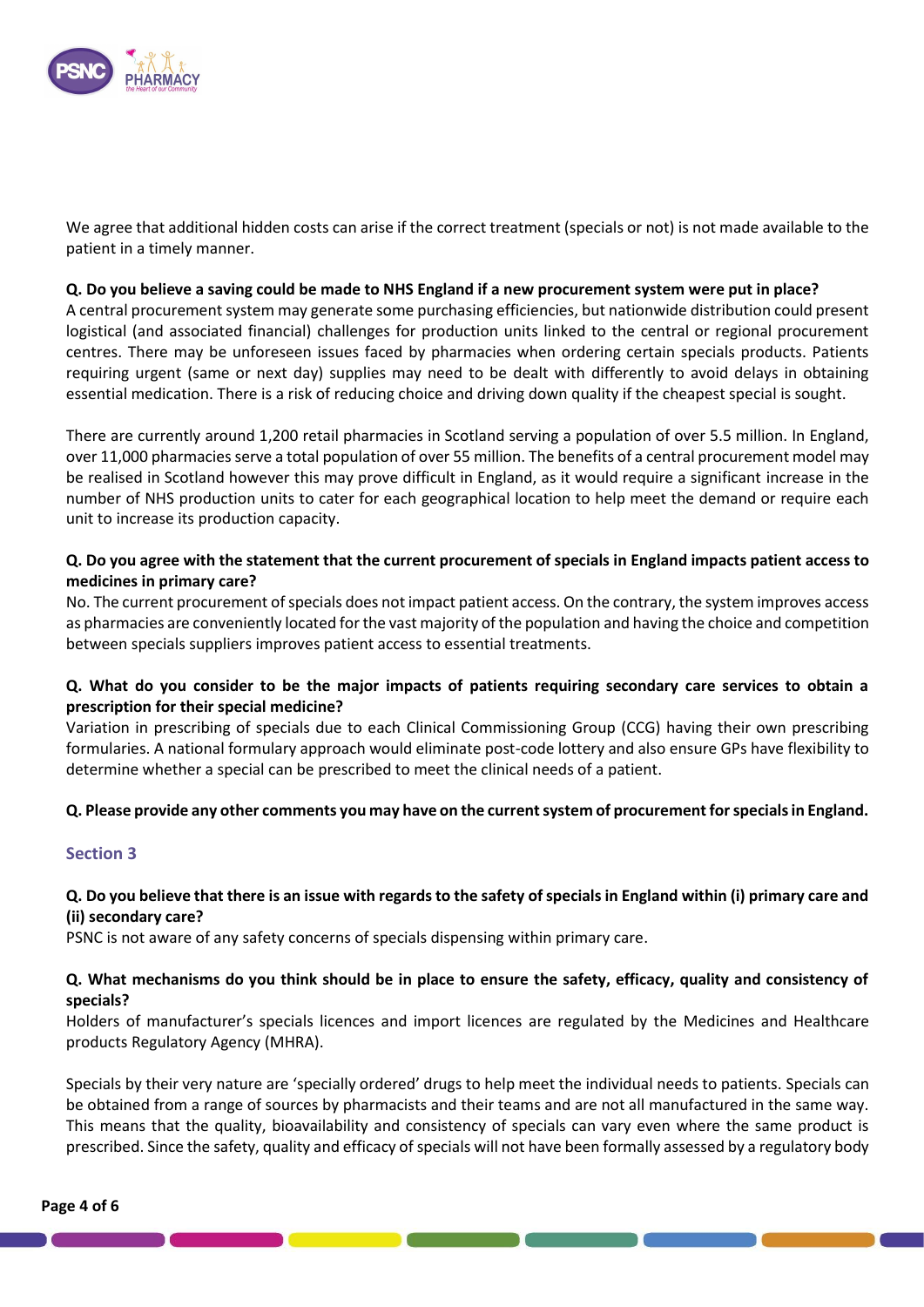

We agree that additional hidden costs can arise if the correct treatment (specials or not) is not made available to the patient in a timely manner.

#### **Q. Do you believe a saving could be made to NHS England if a new procurement system were put in place?**

A central procurement system may generate some purchasing efficiencies, but nationwide distribution could present logistical (and associated financial) challenges for production units linked to the central or regional procurement centres. There may be unforeseen issues faced by pharmacies when ordering certain specials products. Patients requiring urgent (same or next day) supplies may need to be dealt with differently to avoid delays in obtaining essential medication. There is a risk of reducing choice and driving down quality if the cheapest special is sought.

There are currently around 1,200 retail pharmacies in Scotland serving a population of over 5.5 million. In England, over 11,000 pharmacies serve a total population of over 55 million. The benefits of a central procurement model may be realised in Scotland however this may prove difficult in England, as it would require a significant increase in the number of NHS production units to cater for each geographical location to help meet the demand or require each unit to increase its production capacity.

### **Q. Do you agree with the statement that the current procurement of specials in England impacts patient access to medicines in primary care?**

No. The current procurement of specials does not impact patient access. On the contrary, the system improves access as pharmacies are conveniently located for the vast majority of the population and having the choice and competition between specials suppliers improves patient access to essential treatments.

### **Q. What do you consider to be the major impacts of patients requiring secondary care services to obtain a prescription for their special medicine?**

Variation in prescribing of specials due to each Clinical Commissioning Group (CCG) having their own prescribing formularies. A national formulary approach would eliminate post-code lottery and also ensure GPs have flexibility to determine whether a special can be prescribed to meet the clinical needs of a patient.

#### **Q. Please provide any other comments you may have on the current system of procurement for specials in England.**

#### **Section 3**

### **Q. Do you believe that there is an issue with regards to the safety of specials in England within (i) primary care and (ii) secondary care?**

PSNC is not aware of any safety concerns of specials dispensing within primary care.

### **Q. What mechanisms do you think should be in place to ensure the safety, efficacy, quality and consistency of specials?**

Holders of manufacturer's specials licences and import licences are regulated by the Medicines and Healthcare products Regulatory Agency (MHRA).

Specials by their very nature are 'specially ordered' drugs to help meet the individual needs to patients. Specials can be obtained from a range of sources by pharmacists and their teams and are not all manufactured in the same way. This means that the quality, bioavailability and consistency of specials can vary even where the same product is prescribed. Since the safety, quality and efficacy of specials will not have been formally assessed by a regulatory body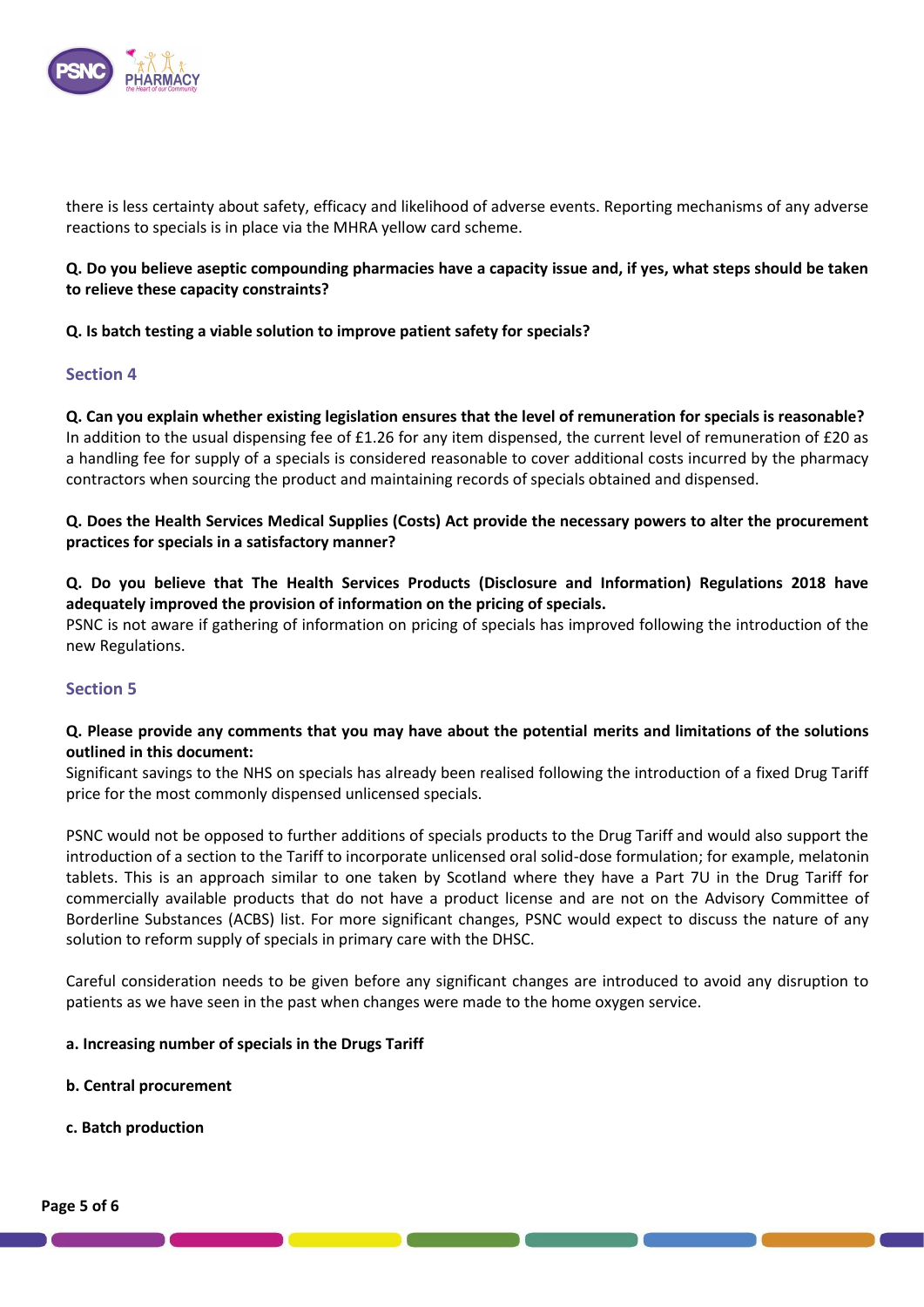

there is less certainty about safety, efficacy and likelihood of adverse events. Reporting mechanisms of any adverse reactions to specials is in place via the MHRA yellow card scheme.

## **Q. Do you believe aseptic compounding pharmacies have a capacity issue and, if yes, what steps should be taken to relieve these capacity constraints?**

#### **Q. Is batch testing a viable solution to improve patient safety for specials?**

### **Section 4**

**Q. Can you explain whether existing legislation ensures that the level of remuneration for specials is reasonable?** In addition to the usual dispensing fee of £1.26 for any item dispensed, the current level of remuneration of £20 as a handling fee for supply of a specials is considered reasonable to cover additional costs incurred by the pharmacy contractors when sourcing the product and maintaining records of specials obtained and dispensed.

**Q. Does the Health Services Medical Supplies (Costs) Act provide the necessary powers to alter the procurement practices for specials in a satisfactory manner?**

## **Q. Do you believe that The Health Services Products (Disclosure and Information) Regulations 2018 have adequately improved the provision of information on the pricing of specials.**

PSNC is not aware if gathering of information on pricing of specials has improved following the introduction of the new Regulations.

## **Section 5**

### **Q. Please provide any comments that you may have about the potential merits and limitations of the solutions outlined in this document:**

Significant savings to the NHS on specials has already been realised following the introduction of a fixed Drug Tariff price for the most commonly dispensed unlicensed specials.

PSNC would not be opposed to further additions of specials products to the Drug Tariff and would also support the introduction of a section to the Tariff to incorporate unlicensed oral solid-dose formulation; for example, melatonin tablets. This is an approach similar to one taken by Scotland where they have a Part 7U in the Drug Tariff for commercially available products that do not have a product license and are not on the Advisory Committee of Borderline Substances (ACBS) list. For more significant changes, PSNC would expect to discuss the nature of any solution to reform supply of specials in primary care with the DHSC.

Careful consideration needs to be given before any significant changes are introduced to avoid any disruption to patients as we have seen in the past when changes were made to the home oxygen service.

#### **a. Increasing number of specials in the Drugs Tariff**

- **b. Central procurement**
- **c. Batch production**